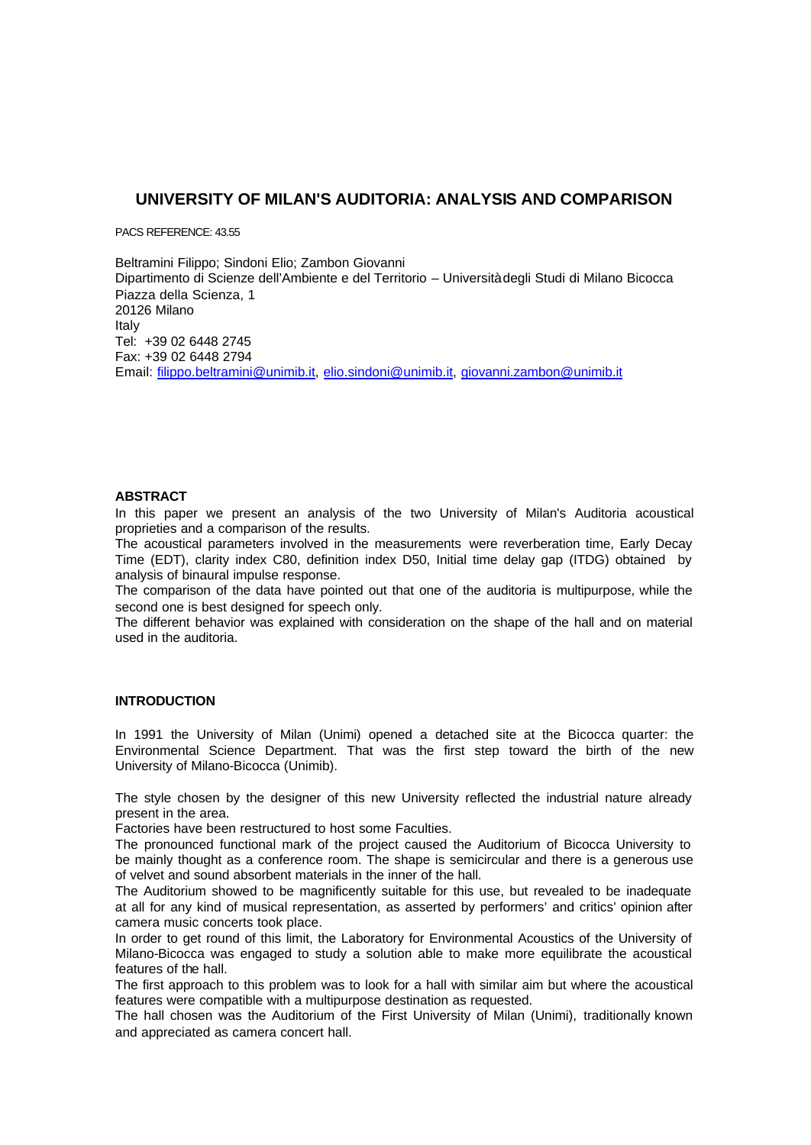# **UNIVERSITY OF MILAN'S AUDITORIA: ANALYSIS AND COMPARISON**

PACS REFERENCE: 43.55

Beltramini Filippo; Sindoni Elio; Zambon Giovanni Dipartimento di Scienze dell'Ambiente e del Territorio – Università degli Studi di Milano Bicocca Piazza della Scienza, 1 20126 Milano Italy Tel: +39 02 6448 2745 Fax: +39 02 6448 2794 Email: filippo.beltramini@unimib.it, elio.sindoni@unimib.it, giovanni.zambon@unimib.it

### **ABSTRACT**

In this paper we present an analysis of the two University of Milan's Auditoria acoustical proprieties and a comparison of the results.

The acoustical parameters involved in the measurements were reverberation time, Early Decay Time (EDT), clarity index C80, definition index D50, Initial time delay gap (ITDG) obtained by analysis of binaural impulse response.

The comparison of the data have pointed out that one of the auditoria is multipurpose, while the second one is best designed for speech only.

The different behavior was explained with consideration on the shape of the hall and on material used in the auditoria.

### **INTRODUCTION**

In 1991 the University of Milan (Unimi) opened a detached site at the Bicocca quarter: the Environmental Science Department. That was the first step toward the birth of the new University of Milano-Bicocca (Unimib).

The style chosen by the designer of this new University reflected the industrial nature already present in the area.

Factories have been restructured to host some Faculties.

The pronounced functional mark of the project caused the Auditorium of Bicocca University to be mainly thought as a conference room. The shape is semicircular and there is a generous use of velvet and sound absorbent materials in the inner of the hall.

The Auditorium showed to be magnificently suitable for this use, but revealed to be inadequate at all for any kind of musical representation, as asserted by performers' and critics' opinion after camera music concerts took place.

In order to get round of this limit, the Laboratory for Environmental Acoustics of the University of Milano-Bicocca was engaged to study a solution able to make more equilibrate the acoustical features of the hall.

The first approach to this problem was to look for a hall with similar aim but where the acoustical features were compatible with a multipurpose destination as requested.

The hall chosen was the Auditorium of the First University of Milan (Unimi), traditionally known and appreciated as camera concert hall.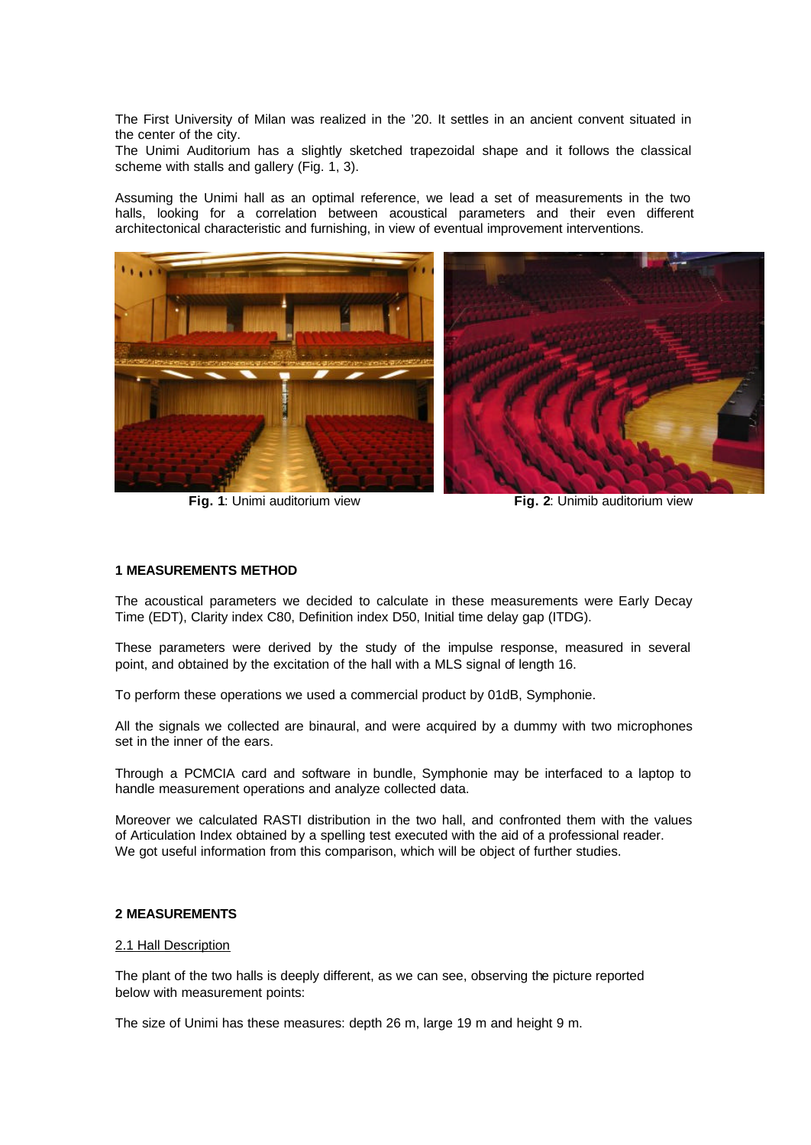The First University of Milan was realized in the '20. It settles in an ancient convent situated in the center of the city.

The Unimi Auditorium has a slightly sketched trapezoidal shape and it follows the classical scheme with stalls and gallery (Fig. 1, 3).

Assuming the Unimi hall as an optimal reference, we lead a set of measurements in the two halls, looking for a correlation between acoustical parameters and their even different architectonical characteristic and furnishing, in view of eventual improvement interventions.



**Fig. 1**: Unimi auditorium view **Fig. 2**: Unimib auditorium view

#### **1 MEASUREMENTS METHOD**

The acoustical parameters we decided to calculate in these measurements were Early Decay Time (EDT), Clarity index C80, Definition index D50, Initial time delay gap (ITDG).

These parameters were derived by the study of the impulse response, measured in several point, and obtained by the excitation of the hall with a MLS signal of length 16.

To perform these operations we used a commercial product by 01dB, Symphonie.

All the signals we collected are binaural, and were acquired by a dummy with two microphones set in the inner of the ears.

Through a PCMCIA card and software in bundle, Symphonie may be interfaced to a laptop to handle measurement operations and analyze collected data.

Moreover we calculated RASTI distribution in the two hall, and confronted them with the values of Articulation Index obtained by a spelling test executed with the aid of a professional reader. We got useful information from this comparison, which will be object of further studies.

### **2 MEASUREMENTS**

#### 2.1 Hall Description

The plant of the two halls is deeply different, as we can see, observing the picture reported below with measurement points:

The size of Unimi has these measures: depth 26 m, large 19 m and height 9 m.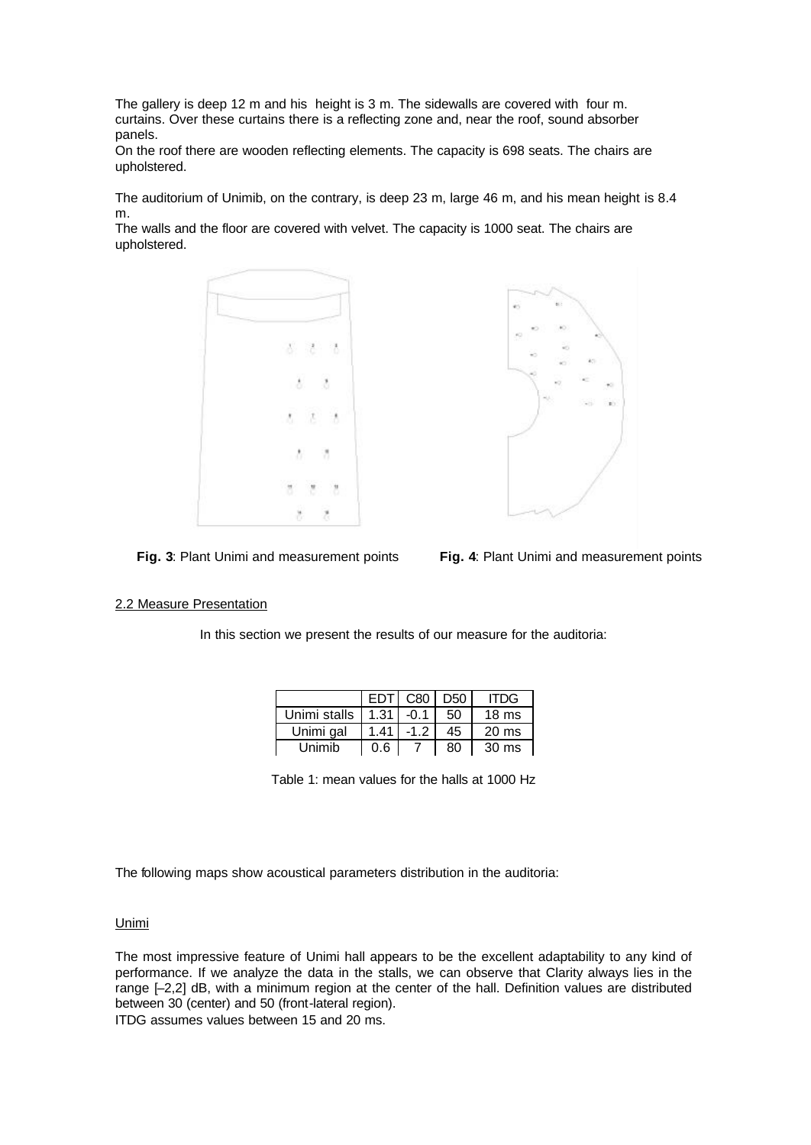The gallery is deep 12 m and his height is 3 m. The sidewalls are covered with four m. curtains. Over these curtains there is a reflecting zone and, near the roof, sound absorber panels.

On the roof there are wooden reflecting elements. The capacity is 698 seats. The chairs are upholstered.

The auditorium of Unimib, on the contrary, is deep 23 m, large 46 m, and his mean height is 8.4 m.

The walls and the floor are covered with velvet. The capacity is 1000 seat. The chairs are upholstered.





**Fig. 3**: Plant Unimi and measurement points **Fig. 4**: Plant Unimi and measurement points

### 2.2 Measure Presentation

In this section we present the results of our measure for the auditoria:

|              |              | EDT C80   D50 |    | <b>ITDG</b>      |
|--------------|--------------|---------------|----|------------------|
| Unimi stalls | $1.31 - 0.1$ |               | 50 | 18 <sub>ms</sub> |
| Unimi gal    | 1.41         | $-1.2$        | 45 | $20 \text{ ms}$  |
| Unimib       | 0.6          |               | 80 | $30 \text{ ms}$  |

Table 1: mean values for the halls at 1000 Hz

The following maps show acoustical parameters distribution in the auditoria:

### Unimi

The most impressive feature of Unimi hall appears to be the excellent adaptability to any kind of performance. If we analyze the data in the stalls, we can observe that Clarity always lies in the range [–2,2] dB, with a minimum region at the center of the hall. Definition values are distributed between 30 (center) and 50 (front-lateral region).

ITDG assumes values between 15 and 20 ms.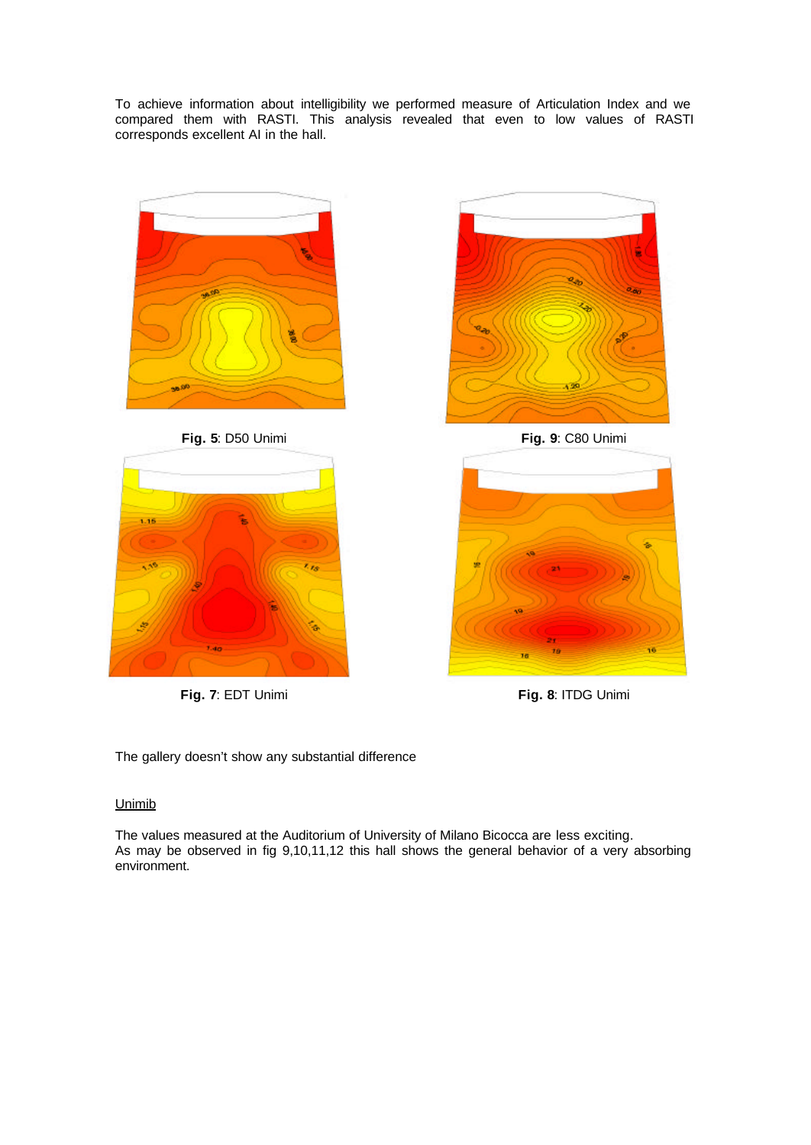To achieve information about intelligibility we performed measure of Articulation Index and we compared them with RASTI. This analysis revealed that even to low values of RASTI corresponds excellent AI in the hall.





**Fig. 7**: EDT Unimi **Fig. 8**: ITDG Unimi



**Fig. 5**: D50 Unimi **Fig. 9**: C80 Unimi



The gallery doesn't show any substantial difference

# Unimib

The values measured at the Auditorium of University of Milano Bicocca are less exciting. As may be observed in fig 9,10,11,12 this hall shows the general behavior of a very absorbing environment.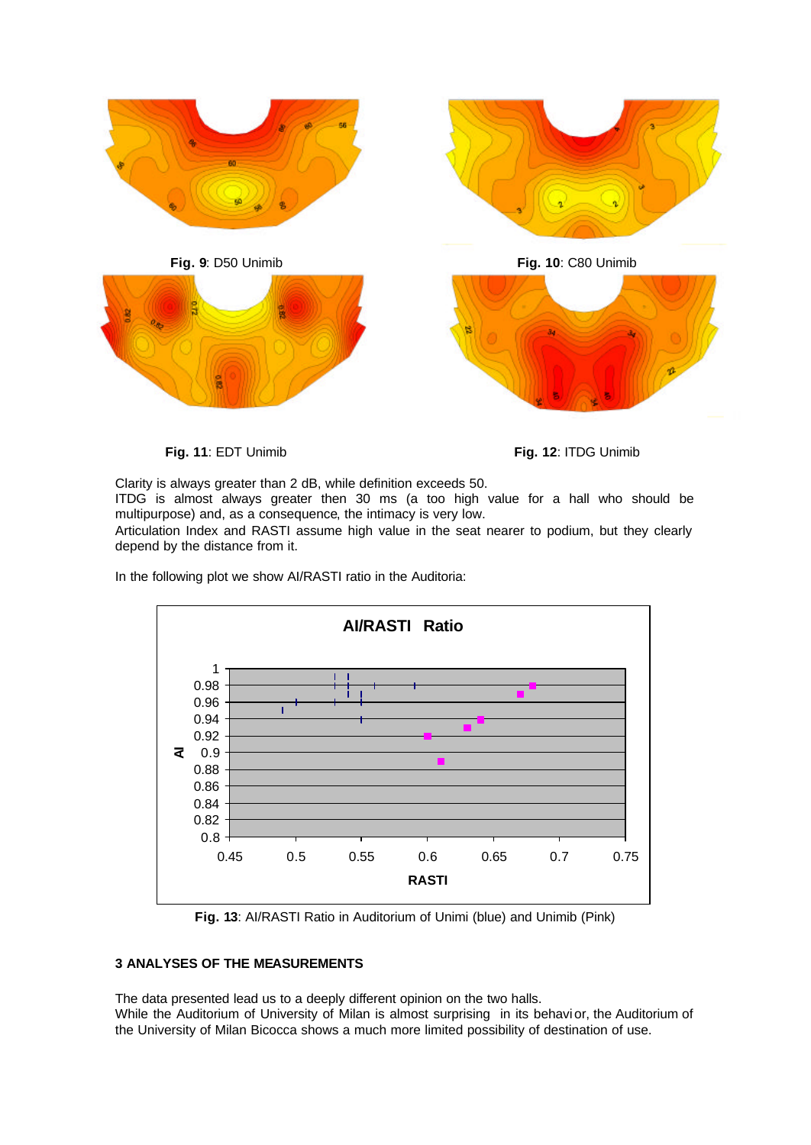

**Fig. 11**: EDT Unimib **Fig. 12**: ITDG Unimib

Clarity is always greater than 2 dB, while definition exceeds 50.

ITDG is almost always greater then 30 ms (a too high value for a hall who should be multipurpose) and, as a consequence, the intimacy is very low.

Articulation Index and RASTI assume high value in the seat nearer to podium, but they clearly depend by the distance from it.

In the following plot we show AI/RASTI ratio in the Auditoria:



**Fig. 13**: AI/RASTI Ratio in Auditorium of Unimi (blue) and Unimib (Pink)

# **3 ANALYSES OF THE MEASUREMENTS**

The data presented lead us to a deeply different opinion on the two halls. While the Auditorium of University of Milan is almost surprising in its behavi or, the Auditorium of the University of Milan Bicocca shows a much more limited possibility of destination of use.